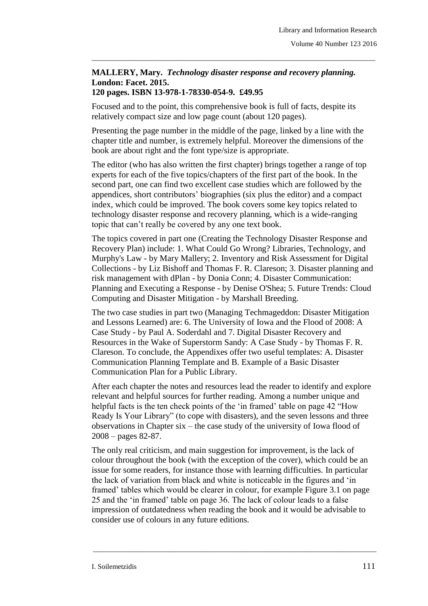## **MALLERY, Mary.** *Technology disaster response and recovery planning.*  **London: Facet. 2015. 120 pages. ISBN 13-978-1-78330-054-9. £49.95**

\_\_\_\_\_\_\_\_\_\_\_\_\_\_\_\_\_\_\_\_\_\_\_\_\_\_\_\_\_\_\_\_\_\_\_\_\_\_\_\_\_\_\_\_\_\_\_\_\_\_\_\_\_\_\_\_\_\_\_\_\_\_\_\_\_\_\_\_\_\_\_\_\_\_\_\_\_\_\_

Focused and to the point, this comprehensive book is full of facts, despite its relatively compact size and low page count (about 120 pages).

Presenting the page number in the middle of the page, linked by a line with the chapter title and number, is extremely helpful. Moreover the dimensions of the book are about right and the font type/size is appropriate.

The editor (who has also written the first chapter) brings together a range of top experts for each of the five topics/chapters of the first part of the book. In the second part, one can find two excellent case studies which are followed by the appendices, short contributors' biographies (six plus the editor) and a compact index, which could be improved. The book covers some key topics related to technology disaster response and recovery planning, which is a wide-ranging topic that can't really be covered by any one text book.

The topics covered in part one (Creating the Technology Disaster Response and Recovery Plan) include: 1. What Could Go Wrong? Libraries, Technology, and Murphy's Law - by Mary Mallery; 2. Inventory and Risk Assessment for Digital Collections - by Liz Bishoff and Thomas F. R. Clareson; 3. Disaster planning and risk management with dPlan - by Donia Conn; 4. Disaster Communication: Planning and Executing a Response - by Denise O'Shea; 5. Future Trends: Cloud Computing and Disaster Mitigation - by Marshall Breeding.

The two case studies in part two (Managing Techmageddon: Disaster Mitigation and Lessons Learned) are: 6. The University of Iowa and the Flood of 2008: A Case Study - by Paul A. Soderdahl and 7. Digital Disaster Recovery and Resources in the Wake of Superstorm Sandy: A Case Study - by Thomas F. R. Clareson. To conclude, the Appendixes offer two useful templates: A. Disaster Communication Planning Template and B. Example of a Basic Disaster Communication Plan for a Public Library.

After each chapter the notes and resources lead the reader to identify and explore relevant and helpful sources for further reading. Among a number unique and helpful facts is the ten check points of the 'in framed' table on page 42 "How Ready Is Your Library" (to cope with disasters), and the seven lessons and three observations in Chapter six – the case study of the university of Iowa flood of 2008 – pages 82-87.

The only real criticism, and main suggestion for improvement, is the lack of colour throughout the book (with the exception of the cover), which could be an issue for some readers, for instance those with learning difficulties. In particular the lack of variation from black and white is noticeable in the figures and 'in framed' tables which would be clearer in colour, for example Figure 3.1 on page 25 and the 'in framed' table on page 36. The lack of colour leads to a false impression of outdatedness when reading the book and it would be advisable to consider use of colours in any future editions.

\_\_\_\_\_\_\_\_\_\_\_\_\_\_\_\_\_\_\_\_\_\_\_\_\_\_\_\_\_\_\_\_\_\_\_\_\_\_\_\_\_\_\_\_\_\_\_\_\_\_\_\_\_\_\_\_\_\_\_\_\_\_\_\_\_\_\_\_\_\_\_\_\_\_\_\_\_\_\_